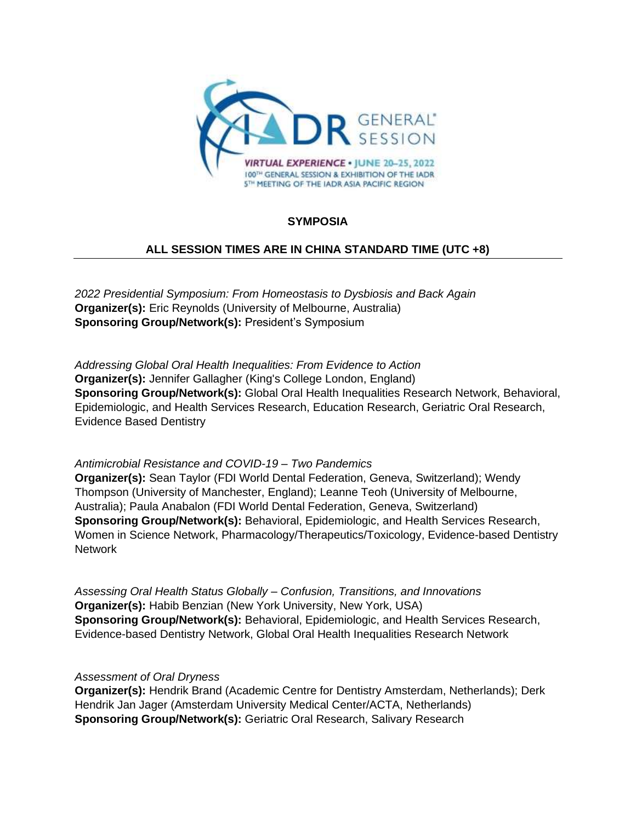

# **SYMPOSIA**

# **ALL SESSION TIMES ARE IN CHINA STANDARD TIME (UTC +8)**

*2022 Presidential Symposium: From Homeostasis to Dysbiosis and Back Again* **Organizer(s):** Eric Reynolds (University of Melbourne, Australia) **Sponsoring Group/Network(s):** President's Symposium

*Addressing Global Oral Health Inequalities: From Evidence to Action* **Organizer(s):** Jennifer Gallagher (King's College London, England) **Sponsoring Group/Network(s):** Global Oral Health Inequalities Research Network, Behavioral, Epidemiologic, and Health Services Research, Education Research, Geriatric Oral Research, Evidence Based Dentistry

## *Antimicrobial Resistance and COVID-19 – Two Pandemics*

**Organizer(s):** Sean Taylor (FDI World Dental Federation, Geneva, Switzerland); Wendy Thompson (University of Manchester, England); Leanne Teoh (University of Melbourne, Australia); Paula Anabalon (FDI World Dental Federation, Geneva, Switzerland) **Sponsoring Group/Network(s):** Behavioral, Epidemiologic, and Health Services Research, Women in Science Network, Pharmacology/Therapeutics/Toxicology, Evidence-based Dentistry **Network** 

*Assessing Oral Health Status Globally – Confusion, Transitions, and Innovations* **Organizer(s):** Habib Benzian (New York University, New York, USA) **Sponsoring Group/Network(s):** Behavioral, Epidemiologic, and Health Services Research, Evidence-based Dentistry Network, Global Oral Health Inequalities Research Network

### *Assessment of Oral Dryness*

**Organizer(s):** Hendrik Brand (Academic Centre for Dentistry Amsterdam, Netherlands); Derk Hendrik Jan Jager (Amsterdam University Medical Center/ACTA, Netherlands) **Sponsoring Group/Network(s):** Geriatric Oral Research, Salivary Research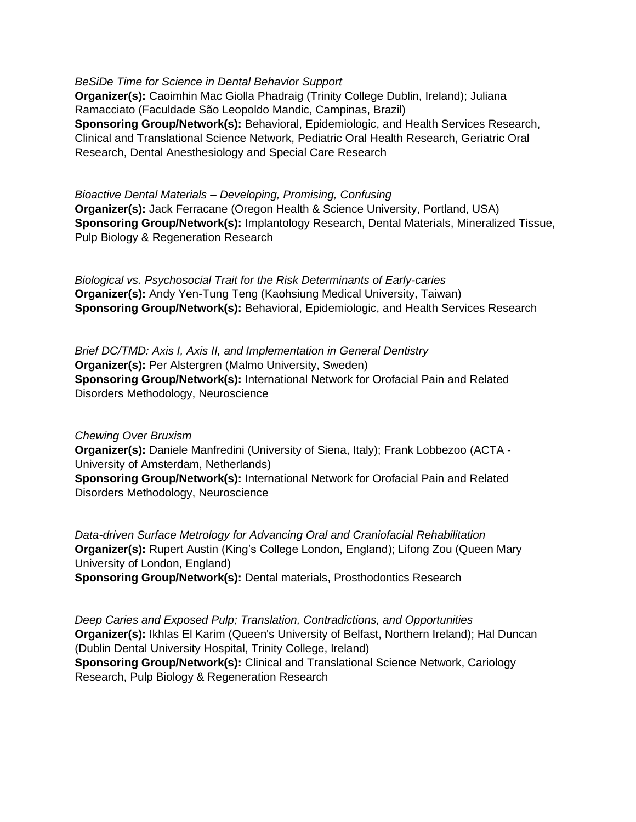*BeSiDe Time for Science in Dental Behavior Support* **Organizer(s):** Caoimhin Mac Giolla Phadraig (Trinity College Dublin, Ireland); Juliana Ramacciato (Faculdade São Leopoldo Mandic, Campinas, Brazil) **Sponsoring Group/Network(s):** Behavioral, Epidemiologic, and Health Services Research, Clinical and Translational Science Network, Pediatric Oral Health Research, Geriatric Oral Research, Dental Anesthesiology and Special Care Research

*Bioactive Dental Materials – Developing, Promising, Confusing* **Organizer(s):** Jack Ferracane (Oregon Health & Science University, Portland, USA) **Sponsoring Group/Network(s):** Implantology Research, Dental Materials, Mineralized Tissue, Pulp Biology & Regeneration Research

*Biological vs. Psychosocial Trait for the Risk Determinants of Early-caries* **Organizer(s):** Andy Yen-Tung Teng (Kaohsiung Medical University, Taiwan) **Sponsoring Group/Network(s):** Behavioral, Epidemiologic, and Health Services Research

*Brief DC/TMD: Axis I, Axis II, and Implementation in General Dentistry* **Organizer(s):** Per Alstergren (Malmo University, Sweden) **Sponsoring Group/Network(s):** International Network for Orofacial Pain and Related Disorders Methodology, Neuroscience

*Chewing Over Bruxism*

**Organizer(s):** Daniele Manfredini (University of Siena, Italy); Frank Lobbezoo (ACTA - University of Amsterdam, Netherlands)

**Sponsoring Group/Network(s):** International Network for Orofacial Pain and Related Disorders Methodology, Neuroscience

*Data-driven Surface Metrology for Advancing Oral and Craniofacial Rehabilitation* **Organizer(s):** Rupert Austin (King's College London, England); Lifong Zou (Queen Mary University of London, England)

**Sponsoring Group/Network(s):** Dental materials, Prosthodontics Research

*Deep Caries and Exposed Pulp; Translation, Contradictions, and Opportunities* **Organizer(s):** Ikhlas El Karim (Queen's University of Belfast, Northern Ireland); Hal Duncan (Dublin Dental University Hospital, Trinity College, Ireland) **Sponsoring Group/Network(s):** Clinical and Translational Science Network, Cariology Research, Pulp Biology & Regeneration Research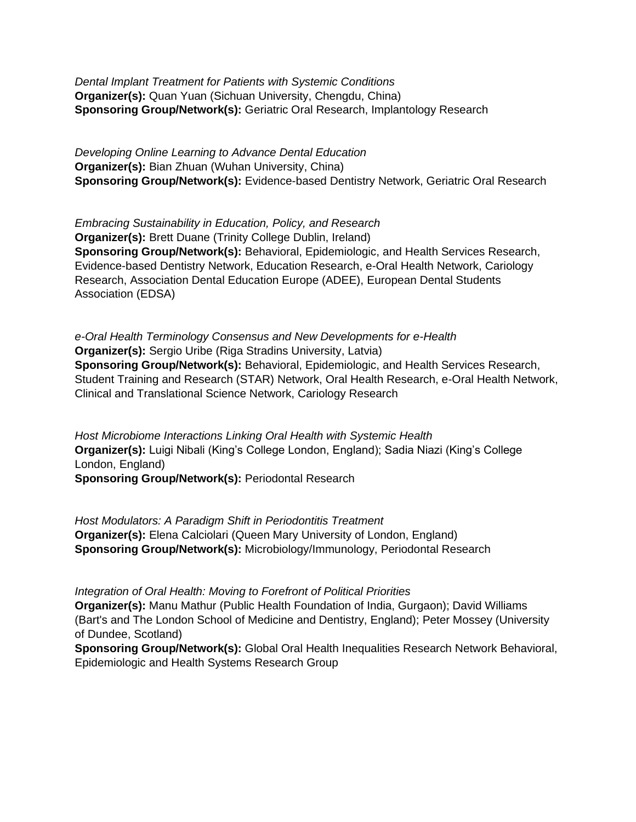*Dental Implant Treatment for Patients with Systemic Conditions* **Organizer(s):** Quan Yuan (Sichuan University, Chengdu, China) **Sponsoring Group/Network(s):** Geriatric Oral Research, Implantology Research

*Developing Online Learning to Advance Dental Education* **Organizer(s):** Bian Zhuan (Wuhan University, China) **Sponsoring Group/Network(s):** Evidence-based Dentistry Network, Geriatric Oral Research

*Embracing Sustainability in Education, Policy, and Research* **Organizer(s):** Brett Duane (Trinity College Dublin, Ireland) **Sponsoring Group/Network(s):** Behavioral, Epidemiologic, and Health Services Research, Evidence-based Dentistry Network, Education Research, e-Oral Health Network, Cariology Research, Association Dental Education Europe (ADEE), European Dental Students Association (EDSA)

*e-Oral Health Terminology Consensus and New Developments for e-Health* **Organizer(s):** Sergio Uribe (Riga Stradins University, Latvia) **Sponsoring Group/Network(s):** Behavioral, Epidemiologic, and Health Services Research, Student Training and Research (STAR) Network, Oral Health Research, e-Oral Health Network, Clinical and Translational Science Network, Cariology Research

*Host Microbiome Interactions Linking Oral Health with Systemic Health* **Organizer(s):** Luigi Nibali (King's College London, England); Sadia Niazi (King's College London, England)

**Sponsoring Group/Network(s):** Periodontal Research

*Host Modulators: A Paradigm Shift in Periodontitis Treatment* **Organizer(s):** Elena Calciolari (Queen Mary University of London, England) **Sponsoring Group/Network(s):** Microbiology/Immunology, Periodontal Research

*Integration of Oral Health: Moving to Forefront of Political Priorities*

**Organizer(s):** Manu Mathur (Public Health Foundation of India, Gurgaon); David Williams (Bart's and The London School of Medicine and Dentistry, England); Peter Mossey (University of Dundee, Scotland)

**Sponsoring Group/Network(s):** Global Oral Health Inequalities Research Network Behavioral, Epidemiologic and Health Systems Research Group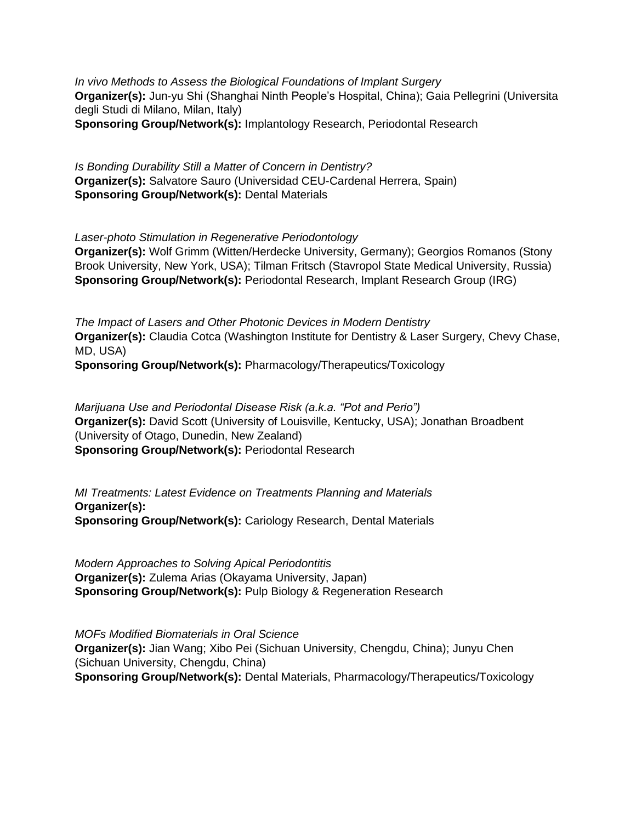*In vivo Methods to Assess the Biological Foundations of Implant Surgery* **Organizer(s):** Jun-yu Shi (Shanghai Ninth People's Hospital, China); Gaia Pellegrini (Universita degli Studi di Milano, Milan, Italy) **Sponsoring Group/Network(s):** Implantology Research, Periodontal Research

*Is Bonding Durability Still a Matter of Concern in Dentistry?* **Organizer(s):** Salvatore Sauro (Universidad CEU-Cardenal Herrera, Spain) **Sponsoring Group/Network(s):** Dental Materials

*Laser-photo Stimulation in Regenerative Periodontology*

**Organizer(s):** Wolf Grimm (Witten/Herdecke University, Germany); Georgios Romanos (Stony Brook University, New York, USA); Tilman Fritsch (Stavropol State Medical University, Russia) **Sponsoring Group/Network(s):** Periodontal Research, Implant Research Group (IRG)

*The Impact of Lasers and Other Photonic Devices in Modern Dentistry* **Organizer(s):** Claudia Cotca (Washington Institute for Dentistry & Laser Surgery, Chevy Chase, MD, USA) **Sponsoring Group/Network(s):** Pharmacology/Therapeutics/Toxicology

*Marijuana Use and Periodontal Disease Risk (a.k.a. "Pot and Perio")* **Organizer(s):** David Scott (University of Louisville, Kentucky, USA); Jonathan Broadbent (University of Otago, Dunedin, New Zealand) **Sponsoring Group/Network(s):** Periodontal Research

*MI Treatments: Latest Evidence on Treatments Planning and Materials* **Organizer(s): Sponsoring Group/Network(s):** Cariology Research, Dental Materials

*Modern Approaches to Solving Apical Periodontitis* **Organizer(s):** Zulema Arias (Okayama University, Japan) **Sponsoring Group/Network(s):** Pulp Biology & Regeneration Research

*MOFs Modified Biomaterials in Oral Science* **Organizer(s):** Jian Wang; Xibo Pei (Sichuan University, Chengdu, China); Junyu Chen (Sichuan University, Chengdu, China) **Sponsoring Group/Network(s):** Dental Materials, Pharmacology/Therapeutics/Toxicology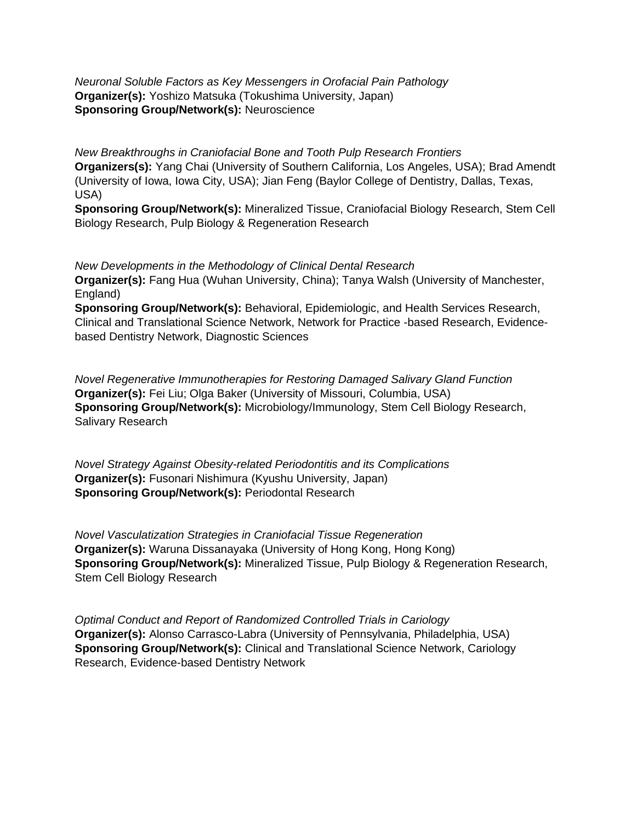*Neuronal Soluble Factors as Key Messengers in Orofacial Pain Pathology* **Organizer(s):** Yoshizo Matsuka (Tokushima University, Japan) **Sponsoring Group/Network(s):** Neuroscience

*New Breakthroughs in Craniofacial Bone and Tooth Pulp Research Frontiers* **Organizers(s):** Yang Chai (University of Southern California, Los Angeles, USA); Brad Amendt (University of Iowa, Iowa City, USA); Jian Feng (Baylor College of Dentistry, Dallas, Texas, USA)

**Sponsoring Group/Network(s):** Mineralized Tissue, Craniofacial Biology Research, Stem Cell Biology Research, Pulp Biology & Regeneration Research

*New Developments in the Methodology of Clinical Dental Research* **Organizer(s):** Fang Hua (Wuhan University, China); Tanya Walsh (University of Manchester, England) **Sponsoring Group/Network(s):** Behavioral, Epidemiologic, and Health Services Research,

Clinical and Translational Science Network, Network for Practice -based Research, Evidencebased Dentistry Network, Diagnostic Sciences

*Novel Regenerative Immunotherapies for Restoring Damaged Salivary Gland Function* **Organizer(s):** Fei Liu; Olga Baker (University of Missouri, Columbia, USA) **Sponsoring Group/Network(s):** Microbiology/Immunology, Stem Cell Biology Research, Salivary Research

*Novel Strategy Against Obesity-related Periodontitis and its Complications* **Organizer(s):** Fusonari Nishimura (Kyushu University, Japan) **Sponsoring Group/Network(s):** Periodontal Research

*Novel Vasculatization Strategies in Craniofacial Tissue Regeneration* **Organizer(s):** Waruna Dissanayaka (University of Hong Kong, Hong Kong) **Sponsoring Group/Network(s):** Mineralized Tissue, Pulp Biology & Regeneration Research, Stem Cell Biology Research

*Optimal Conduct and Report of Randomized Controlled Trials in Cariology* **Organizer(s):** Alonso Carrasco-Labra (University of Pennsylvania, Philadelphia, USA) **Sponsoring Group/Network(s):** Clinical and Translational Science Network, Cariology Research, Evidence-based Dentistry Network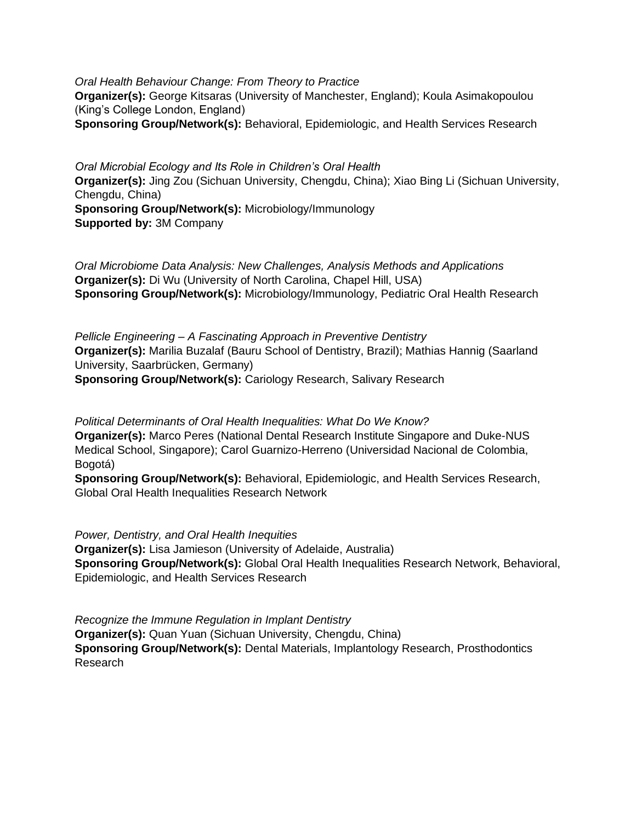*Oral Health Behaviour Change: From Theory to Practice* **Organizer(s):** George Kitsaras (University of Manchester, England); Koula Asimakopoulou (King's College London, England)

**Sponsoring Group/Network(s):** Behavioral, Epidemiologic, and Health Services Research

*Oral Microbial Ecology and Its Role in Children's Oral Health* **Organizer(s):** Jing Zou (Sichuan University, Chengdu, China); Xiao Bing Li (Sichuan University, Chengdu, China) **Sponsoring Group/Network(s):** Microbiology/Immunology **Supported by:** 3M Company

*Oral Microbiome Data Analysis: New Challenges, Analysis Methods and Applications* **Organizer(s):** Di Wu (University of North Carolina, Chapel Hill, USA) **Sponsoring Group/Network(s):** Microbiology/Immunology, Pediatric Oral Health Research

*Pellicle Engineering – A Fascinating Approach in Preventive Dentistry* **Organizer(s):** Marilia Buzalaf (Bauru School of Dentistry, Brazil); Mathias Hannig (Saarland University, Saarbrücken, Germany) **Sponsoring Group/Network(s):** Cariology Research, Salivary Research

*Political Determinants of Oral Health Inequalities: What Do We Know?* **Organizer(s):** Marco Peres (National Dental Research Institute Singapore and Duke-NUS Medical School, Singapore); Carol Guarnizo-Herreno (Universidad Nacional de Colombia, Bogotá)

**Sponsoring Group/Network(s):** Behavioral, Epidemiologic, and Health Services Research, Global Oral Health Inequalities Research Network

*Power, Dentistry, and Oral Health Inequities* **Organizer(s):** Lisa Jamieson (University of Adelaide, Australia) **Sponsoring Group/Network(s):** Global Oral Health Inequalities Research Network, Behavioral, Epidemiologic, and Health Services Research

*Recognize the Immune Regulation in Implant Dentistry* **Organizer(s):** Quan Yuan (Sichuan University, Chengdu, China) **Sponsoring Group/Network(s):** Dental Materials, Implantology Research, Prosthodontics Research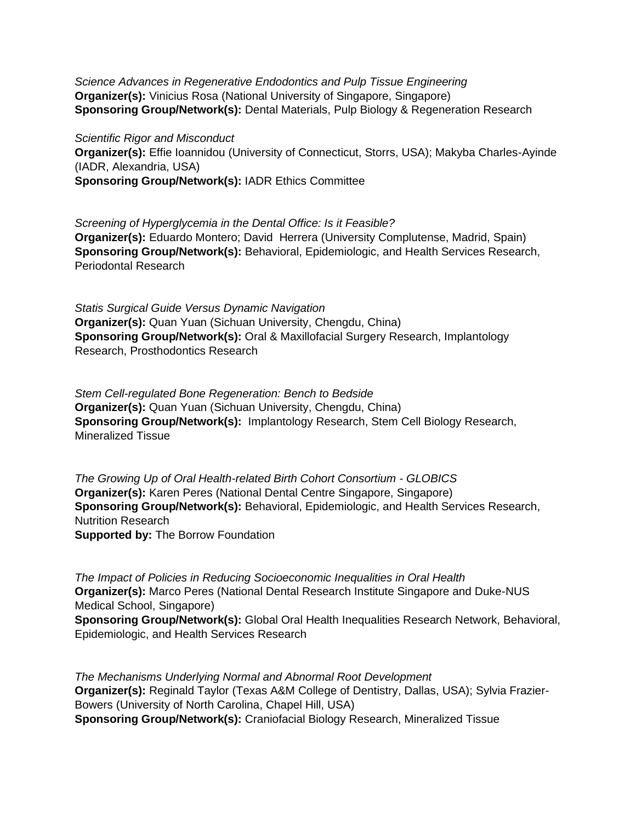*Science Advances in Regenerative Endodontics and Pulp Tissue Engineering* **Organizer(s):** Vinicius Rosa (National University of Singapore, Singapore) **Sponsoring Group/Network(s):** Dental Materials, Pulp Biology & Regeneration Research

*Scientific Rigor and Misconduct* **Organizer(s):** Effie Ioannidou (University of Connecticut, Storrs, USA); Makyba Charles-Ayinde (IADR, Alexandria, USA) **Sponsoring Group/Network(s):** IADR Ethics Committee

*Screening of Hyperglycemia in the Dental Office: Is it Feasible?* **Organizer(s):** Eduardo Montero; David Herrera (University Complutense, Madrid, Spain) **Sponsoring Group/Network(s):** Behavioral, Epidemiologic, and Health Services Research, Periodontal Research

*Statis Surgical Guide Versus Dynamic Navigation* **Organizer(s):** Quan Yuan (Sichuan University, Chengdu, China) **Sponsoring Group/Network(s):** Oral & Maxillofacial Surgery Research, Implantology Research, Prosthodontics Research

*Stem Cell-regulated Bone Regeneration: Bench to Bedside* **Organizer(s):** Quan Yuan (Sichuan University, Chengdu, China) **Sponsoring Group/Network(s):** Implantology Research, Stem Cell Biology Research, Mineralized Tissue

*The Growing Up of Oral Health-related Birth Cohort Consortium - GLOBICS* **Organizer(s):** Karen Peres (National Dental Centre Singapore, Singapore) **Sponsoring Group/Network(s):** Behavioral, Epidemiologic, and Health Services Research, Nutrition Research **Supported by:** The Borrow Foundation

*The Impact of Policies in Reducing Socioeconomic Inequalities in Oral Health* **Organizer(s):** Marco Peres (National Dental Research Institute Singapore and Duke-NUS Medical School, Singapore) **Sponsoring Group/Network(s):** Global Oral Health Inequalities Research Network, Behavioral, Epidemiologic, and Health Services Research

*The Mechanisms Underlying Normal and Abnormal Root Development* **Organizer(s):** Reginald Taylor (Texas A&M College of Dentistry, Dallas, USA); Sylvia Frazier-Bowers (University of North Carolina, Chapel Hill, USA) **Sponsoring Group/Network(s):** Craniofacial Biology Research, Mineralized Tissue